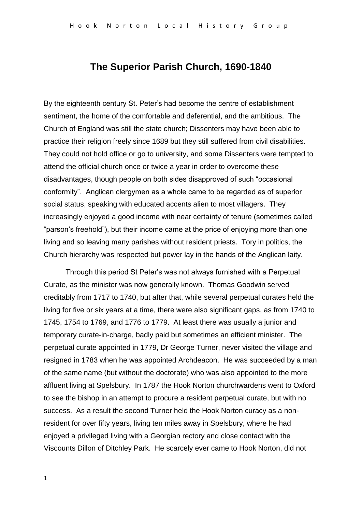# **The Superior Parish Church, 1690-1840**

By the eighteenth century St. Peter's had become the centre of establishment sentiment, the home of the comfortable and deferential, and the ambitious. The Church of England was still the state church; Dissenters may have been able to practice their religion freely since 1689 but they still suffered from civil disabilities. They could not hold office or go to university, and some Dissenters were tempted to attend the official church once or twice a year in order to overcome these disadvantages, though people on both sides disapproved of such "occasional conformity". Anglican clergymen as a whole came to be regarded as of superior social status, speaking with educated accents alien to most villagers. They increasingly enjoyed a good income with near certainty of tenure (sometimes called "parson's freehold"), but their income came at the price of enjoying more than one living and so leaving many parishes without resident priests. Tory in politics, the Church hierarchy was respected but power lay in the hands of the Anglican laity.

Through this period St Peter's was not always furnished with a Perpetual Curate, as the minister was now generally known. Thomas Goodwin served creditably from 1717 to 1740, but after that, while several perpetual curates held the living for five or six years at a time, there were also significant gaps, as from 1740 to 1745, 1754 to 1769, and 1776 to 1779. At least there was usually a junior and temporary curate-in-charge, badly paid but sometimes an efficient minister. The perpetual curate appointed in 1779, Dr George Turner, never visited the village and resigned in 1783 when he was appointed Archdeacon. He was succeeded by a man of the same name (but without the doctorate) who was also appointed to the more affluent living at Spelsbury. In 1787 the Hook Norton churchwardens went to Oxford to see the bishop in an attempt to procure a resident perpetual curate, but with no success. As a result the second Turner held the Hook Norton curacy as a nonresident for over fifty years, living ten miles away in Spelsbury, where he had enjoyed a privileged living with a Georgian rectory and close contact with the Viscounts Dillon of Ditchley Park. He scarcely ever came to Hook Norton, did not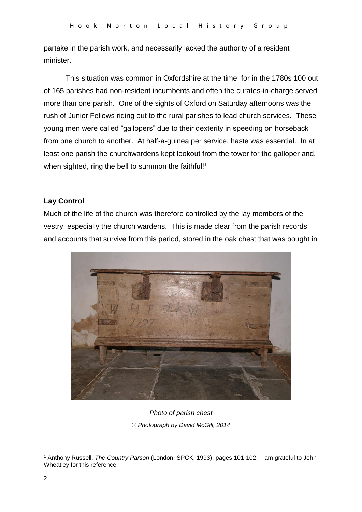partake in the parish work, and necessarily lacked the authority of a resident minister.

This situation was common in Oxfordshire at the time, for in the 1780s 100 out of 165 parishes had non-resident incumbents and often the curates-in-charge served more than one parish. One of the sights of Oxford on Saturday afternoons was the rush of Junior Fellows riding out to the rural parishes to lead church services. These young men were called "gallopers" due to their dexterity in speeding on horseback from one church to another. At half-a-guinea per service, haste was essential. In at least one parish the churchwardens kept lookout from the tower for the galloper and, when sighted, ring the bell to summon the faithful!<sup>1</sup>

## **Lay Control**

Much of the life of the church was therefore controlled by the lay members of the vestry, especially the church wardens. This is made clear from the parish records and accounts that survive from this period, stored in the oak chest that was bought in



*Photo of parish chest © Photograph by David McGill, 2014*

**<sup>.</sup>** <sup>1</sup> Anthony Russell, *The Country Parson* (London: SPCK, 1993), pages 101-102. I am grateful to John Wheatley for this reference.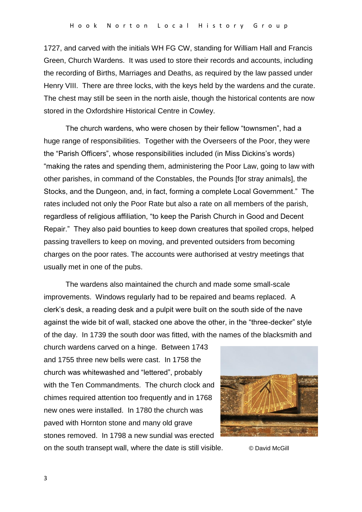1727, and carved with the initials WH FG CW, standing for William Hall and Francis Green, Church Wardens. It was used to store their records and accounts, including the recording of Births, Marriages and Deaths, as required by the law passed under Henry VIII. There are three locks, with the keys held by the wardens and the curate. The chest may still be seen in the north aisle, though the historical contents are now stored in the Oxfordshire Historical Centre in Cowley.

The church wardens, who were chosen by their fellow "townsmen", had a huge range of responsibilities. Together with the Overseers of the Poor, they were the "Parish Officers", whose responsibilities included (in Miss Dickins's words) "making the rates and spending them, administering the Poor Law, going to law with other parishes, in command of the Constables, the Pounds [for stray animals], the Stocks, and the Dungeon, and, in fact, forming a complete Local Government." The rates included not only the Poor Rate but also a rate on all members of the parish, regardless of religious affiliation, "to keep the Parish Church in Good and Decent Repair." They also paid bounties to keep down creatures that spoiled crops, helped passing travellers to keep on moving, and prevented outsiders from becoming charges on the poor rates. The accounts were authorised at vestry meetings that usually met in one of the pubs.

The wardens also maintained the church and made some small-scale improvements. Windows regularly had to be repaired and beams replaced. A clerk's desk, a reading desk and a pulpit were built on the south side of the nave against the wide bit of wall, stacked one above the other, in the "three-decker" style of the day. In 1739 the south door was fitted, with the names of the blacksmith and

church wardens carved on a hinge. Between 1743 and 1755 three new bells were cast. In 1758 the church was whitewashed and "lettered", probably with the Ten Commandments. The church clock and chimes required attention too frequently and in 1768 new ones were installed. In 1780 the church was paved with Hornton stone and many old grave stones removed. In 1798 a new sundial was erected on the south transept wall, where the date is still visible. © David McGill

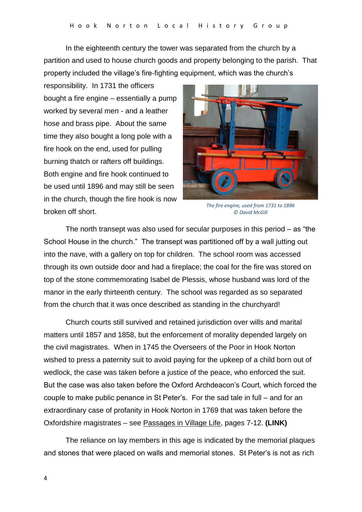In the eighteenth century the tower was separated from the church by a partition and used to house church goods and property belonging to the parish. That property included the village's fire-fighting equipment, which was the church's

responsibility. In 1731 the officers bought a fire engine – essentially a pump worked by several men - and a leather hose and brass pipe. About the same time they also bought a long pole with a fire hook on the end, used for pulling burning thatch or rafters off buildings. Both engine and fire hook continued to be used until 1896 and may still be seen in the church, though the fire hook is now broken off short.



*The fire engine, used from 1731 to 1896 © David McGill*

The north transept was also used for secular purposes in this period – as "the School House in the church." The transept was partitioned off by a wall jutting out into the nave, with a gallery on top for children. The school room was accessed through its own outside door and had a fireplace; the coal for the fire was stored on top of the stone commemorating Isabel de Plessis, whose husband was lord of the manor in the early thirteenth century. The school was regarded as so separated from the church that it was once described as standing in the churchyard!

Church courts still survived and retained jurisdiction over wills and marital matters until 1857 and 1858, but the enforcement of morality depended largely on the civil magistrates. When in 1745 the Overseers of the Poor in Hook Norton wished to press a paternity suit to avoid paying for the upkeep of a child born out of wedlock, the case was taken before a justice of the peace, who enforced the suit. But the case was also taken before the Oxford Archdeacon's Court, which forced the couple to make public penance in St Peter's. For the sad tale in full – and for an extraordinary case of profanity in Hook Norton in 1769 that was taken before the Oxfordshire magistrates – see Passages in Village Life, pages 7-12. **(LINK)**

The reliance on lay members in this age is indicated by the memorial plaques and stones that were placed on walls and memorial stones. St Peter's is not as rich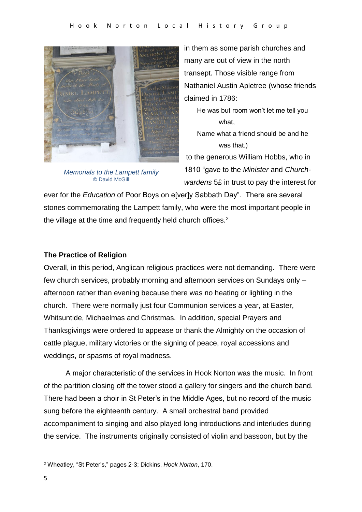

*Memorials to the Lampett family* © David McGill

in them as some parish churches and many are out of view in the north transept. Those visible range from Nathaniel Austin Apletree (whose friends claimed in 1786:

He was but room won't let me tell you what,

Name what a friend should be and he was that.)

to the generous William Hobbs, who in 1810 "gave to the *Minister* and *Churchwardens* 5£ in trust to pay the interest for

ever for the *Education* of Poor Boys on e[ver]y Sabbath Day". There are several stones commemorating the Lampett family, who were the most important people in the village at the time and frequently held church offices.<sup>2</sup>

## **The Practice of Religion**

Overall, in this period, Anglican religious practices were not demanding. There were few church services, probably morning and afternoon services on Sundays only – afternoon rather than evening because there was no heating or lighting in the church. There were normally just four Communion services a year, at Easter, Whitsuntide, Michaelmas and Christmas. In addition, special Prayers and Thanksgivings were ordered to appease or thank the Almighty on the occasion of cattle plague, military victories or the signing of peace, royal accessions and weddings, or spasms of royal madness.

A major characteristic of the services in Hook Norton was the music. In front of the partition closing off the tower stood a gallery for singers and the church band. There had been a choir in St Peter's in the Middle Ages, but no record of the music sung before the eighteenth century. A small orchestral band provided accompaniment to singing and also played long introductions and interludes during the service. The instruments originally consisted of violin and bassoon, but by the

**<sup>.</sup>** <sup>2</sup> Wheatley, "St Peter's," pages 2-3; Dickins, *Hook Norton*, 170.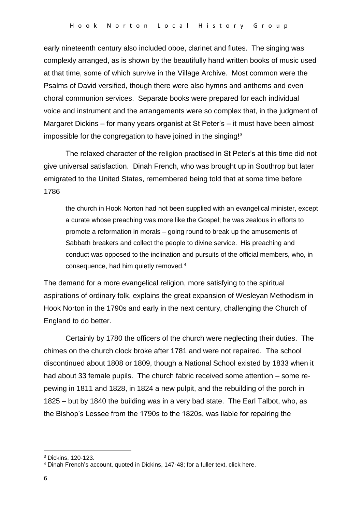early nineteenth century also included oboe, clarinet and flutes. The singing was complexly arranged, as is shown by the beautifully hand written books of music used at that time, some of which survive in the Village Archive. Most common were the Psalms of David versified, though there were also hymns and anthems and even choral communion services. Separate books were prepared for each individual voice and instrument and the arrangements were so complex that, in the judgment of Margaret Dickins – for many years organist at St Peter's – it must have been almost impossible for the congregation to have joined in the singing!<sup>3</sup>

The relaxed character of the religion practised in St Peter's at this time did not give universal satisfaction. Dinah French, who was brought up in Southrop but later emigrated to the United States, remembered being told that at some time before 1786

the church in Hook Norton had not been supplied with an evangelical minister, except a curate whose preaching was more like the Gospel; he was zealous in efforts to promote a reformation in morals – going round to break up the amusements of Sabbath breakers and collect the people to divine service. His preaching and conduct was opposed to the inclination and pursuits of the official members, who, in consequence, had him quietly removed.<sup>4</sup>

The demand for a more evangelical religion, more satisfying to the spiritual aspirations of ordinary folk, explains the great expansion of Wesleyan Methodism in Hook Norton in the 1790s and early in the next century, challenging the Church of England to do better.

Certainly by 1780 the officers of the church were neglecting their duties. The chimes on the church clock broke after 1781 and were not repaired. The school discontinued about 1808 or 1809, though a National School existed by 1833 when it had about 33 female pupils. The church fabric received some attention – some repewing in 1811 and 1828, in 1824 a new pulpit, and the rebuilding of the porch in 1825 – but by 1840 the building was in a very bad state. The Earl Talbot, who, as the Bishop's Lessee from the 1790s to the 1820s, was liable for repairing the

**.** 

<sup>3</sup> Dickins, 120-123.

<sup>4</sup> Dinah French's account, quoted in Dickins, 147-48; for a fuller text, click here.